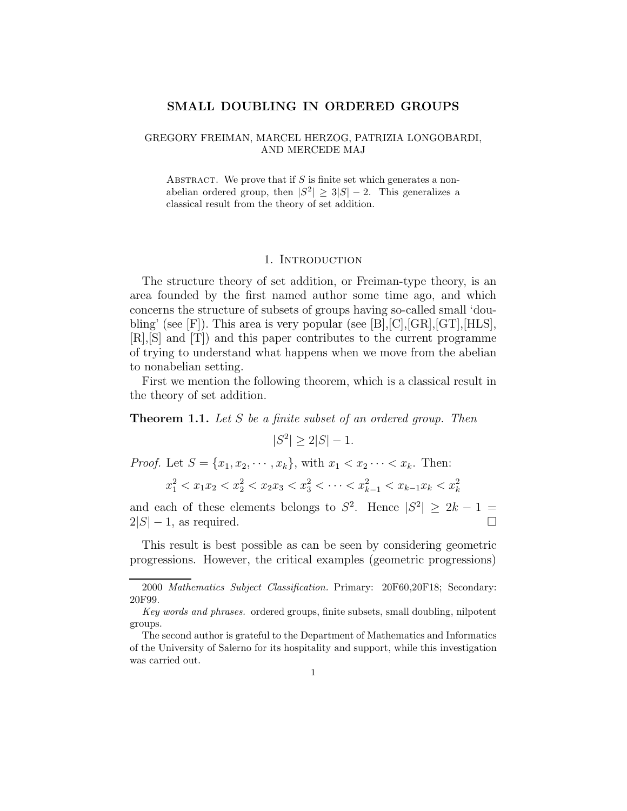# SMALL DOUBLING IN ORDERED GROUPS

# GREGORY FREIMAN, MARCEL HERZOG, PATRIZIA LONGOBARDI, AND MERCEDE MAJ

ABSTRACT. We prove that if  $S$  is finite set which generates a nonabelian ordered group, then  $|S^2| \geq 3|S| - 2$ . This generalizes a classical result from the theory of set addition.

## 1. INTRODUCTION

The structure theory of set addition, or Freiman-type theory, is an area founded by the first named author some time ago, and which concerns the structure of subsets of groups having so-called small 'doubling' (see [F]). This area is very popular (see [B],[C],[GR],[GT],[HLS], [R],[S] and [T]) and this paper contributes to the current programme of trying to understand what happens when we move from the abelian to nonabelian setting.

First we mention the following theorem, which is a classical result in the theory of set addition.

**Theorem 1.1.** Let S be a finite subset of an ordered group. Then

$$
|S^2| \ge 2|S| - 1.
$$

*Proof.* Let  $S = \{x_1, x_2, \dots, x_k\}$ , with  $x_1 < x_2 \dots < x_k$ . Then:

$$
x_1^2 < x_1 x_2 < x_2^2 < x_2 x_3 < x_3^2 < \dots < x_{k-1}^2 < x_{k-1} x_k < x_k^2
$$

and each of these elements belongs to  $S^2$ . Hence  $|S^2| \geq 2k - 1$  $2|S| - 1$ , as required.

This result is best possible as can be seen by considering geometric progressions. However, the critical examples (geometric progressions)

<sup>2000</sup> Mathematics Subject Classification. Primary: 20F60,20F18; Secondary: 20F99.

Key words and phrases. ordered groups, finite subsets, small doubling, nilpotent groups.

The second author is grateful to the Department of Mathematics and Informatics of the University of Salerno for its hospitality and support, while this investigation was carried out.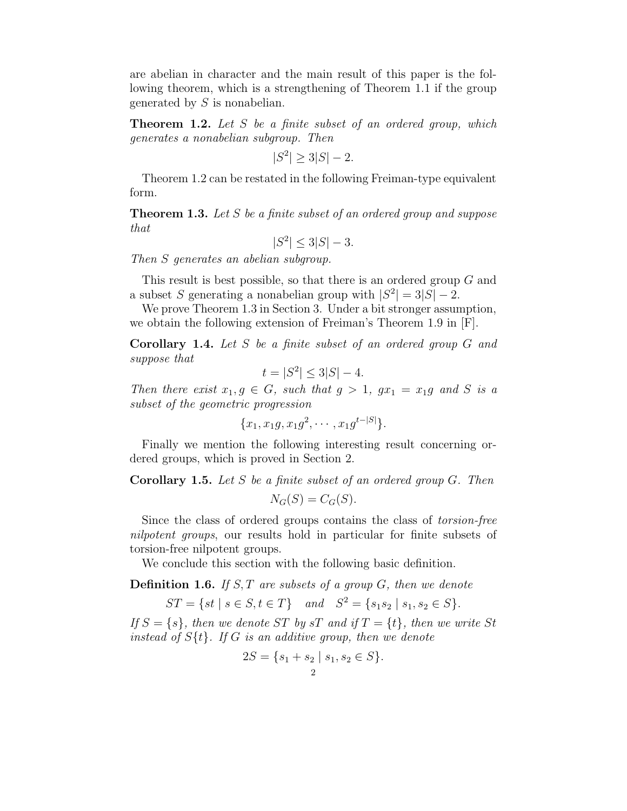are abelian in character and the main result of this paper is the following theorem, which is a strengthening of Theorem 1.1 if the group generated by S is nonabelian.

**Theorem 1.2.** Let  $S$  be a finite subset of an ordered group, which generates a nonabelian subgroup. Then

$$
|S^2| \ge 3|S| - 2.
$$

Theorem 1.2 can be restated in the following Freiman-type equivalent form.

**Theorem 1.3.** Let S be a finite subset of an ordered group and suppose that

 $|S^2| \leq 3|S| - 3.$ 

Then S generates an abelian subgroup.

This result is best possible, so that there is an ordered group G and a subset S generating a nonabelian group with  $|S^2| = 3|S| - 2$ .

We prove Theorem 1.3 in Section 3. Under a bit stronger assumption, we obtain the following extension of Freiman's Theorem 1.9 in [F].

Corollary 1.4. Let S be a finite subset of an ordered group G and suppose that

$$
t = |S^2| \le 3|S| - 4.
$$

Then there exist  $x_1, g \in G$ , such that  $g > 1$ ,  $gx_1 = x_1g$  and S is a subset of the geometric progression

$$
\{x_1, x_1g, x_1g^2, \cdots, x_1g^{t-|S|}\}.
$$

Finally we mention the following interesting result concerning ordered groups, which is proved in Section 2.

**Corollary 1.5.** Let S be a finite subset of an ordered group  $G$ . Then

$$
N_G(S) = C_G(S).
$$

Since the class of ordered groups contains the class of torsion-free nilpotent groups, our results hold in particular for finite subsets of torsion-free nilpotent groups.

We conclude this section with the following basic definition.

**Definition 1.6.** If  $S, T$  are subsets of a group  $G$ , then we denote

$$
ST = \{ st \mid s \in S, t \in T \} \quad and \quad S^2 = \{ s_1 s_2 \mid s_1, s_2 \in S \}.
$$

If  $S = \{s\}$ , then we denote ST by sT and if  $T = \{t\}$ , then we write St instead of  $S\{t\}$ . If G is an additive group, then we denote

$$
2S = \{s_1 + s_2 \mid s_1, s_2 \in S\}.
$$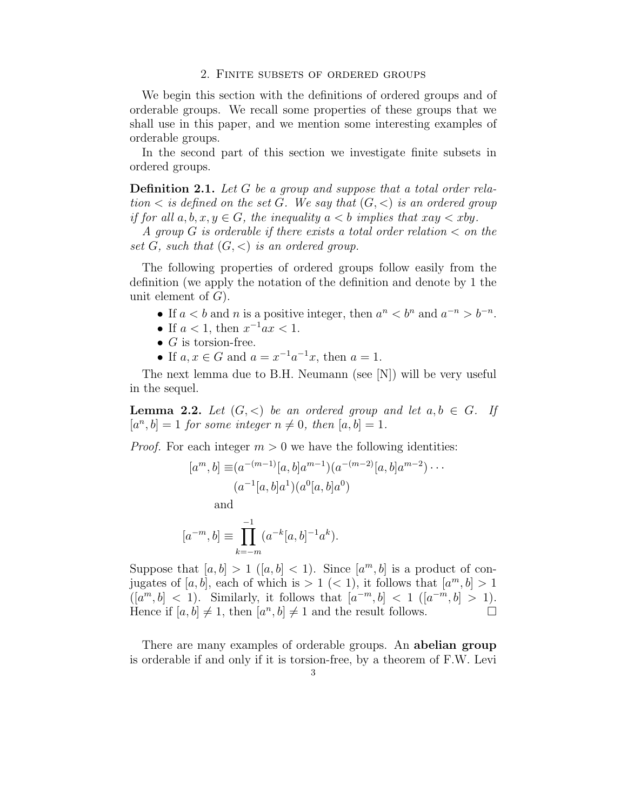### 2. Finite subsets of ordered groups

We begin this section with the definitions of ordered groups and of orderable groups. We recall some properties of these groups that we shall use in this paper, and we mention some interesting examples of orderable groups.

In the second part of this section we investigate finite subsets in ordered groups.

**Definition 2.1.** Let G be a group and suppose that a total order relation  $\lt$  is defined on the set G. We say that  $(G, \lt)$  is an ordered group if for all  $a, b, x, y \in G$ , the inequality  $a < b$  implies that  $xay < xby$ .

A group G is orderable if there exists a total order relation  $\lt$  on the set G, such that  $(G, \leq)$  is an ordered group.

The following properties of ordered groups follow easily from the definition (we apply the notation of the definition and denote by 1 the unit element of  $G$ ).

- If  $a < b$  and n is a positive integer, then  $a^n < b^n$  and  $a^{-n} > b^{-n}$ .
- If  $a < 1$ , then  $x^{-1}ax < 1$ .
- $G$  is torsion-free.
- If  $a, x \in G$  and  $a = x^{-1}a^{-1}x$ , then  $a = 1$ .

The next lemma due to B.H. Neumann (see [N]) will be very useful in the sequel.

**Lemma 2.2.** Let  $(G, \leq)$  be an ordered group and let  $a, b \in G$ . If  $[a^n, b] = 1$  for some integer  $n \neq 0$ , then  $[a, b] = 1$ .

*Proof.* For each integer  $m > 0$  we have the following identities:

$$
[a^m, b] \equiv (a^{-(m-1)}[a, b]a^{m-1})(a^{-(m-2)}[a, b]a^{m-2})\cdots
$$

$$
(a^{-1}[a, b]a^1)(a^0[a, b]a^0)
$$
and

$$
[a^{-m},b] \equiv \prod_{k=-m}^{-1} (a^{-k}[a,b]^{-1}a^{k}).
$$

Suppose that  $[a, b] > 1$   $([a, b] < 1)$ . Since  $[a<sup>m</sup>, b]$  is a product of conjugates of [a, b], each of which is  $> 1$  (< 1), it follows that  $[a^m, b] > 1$  $([a^m, b] < 1)$ . Similarly, it follows that  $[a^{-m}, b] < 1$   $([a^{-m}, b] > 1)$ . Hence if  $[a, b] \neq 1$ , then  $[a^n, b] \neq 1$  and the result follows.

There are many examples of orderable groups. An **abelian group** is orderable if and only if it is torsion-free, by a theorem of F.W. Levi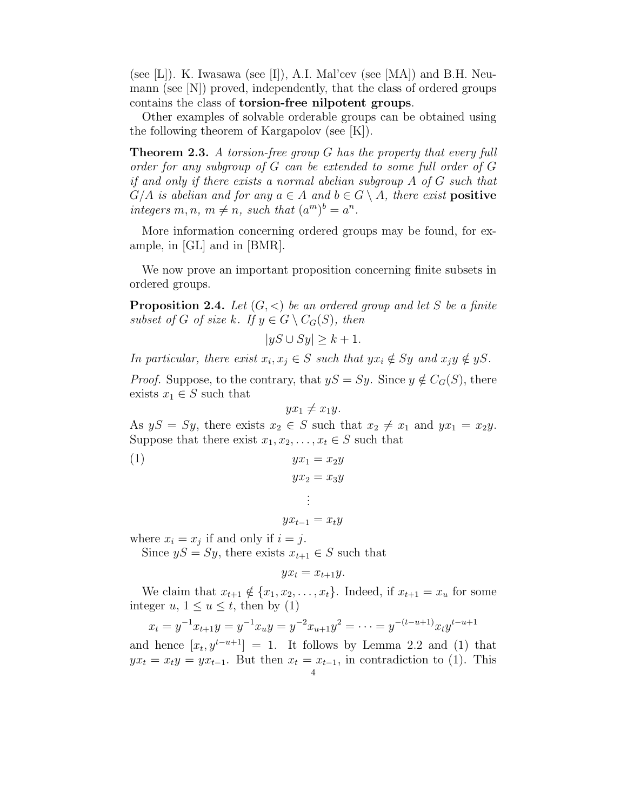(see [L]). K. Iwasawa (see [I]), A.I. Mal'cev (see [MA]) and B.H. Neumann (see [N]) proved, independently, that the class of ordered groups contains the class of torsion-free nilpotent groups.

Other examples of solvable orderable groups can be obtained using the following theorem of Kargapolov (see [K]).

**Theorem 2.3.** A torsion-free group G has the property that every full order for any subgroup of G can be extended to some full order of G if and only if there exists a normal abelian subgroup A of G such that  $G/A$  is abelian and for any  $a \in A$  and  $b \in G \setminus A$ , there exist **positive** integers  $m, n, m \neq n$ , such that  $(a^m)^b = a^n$ .

More information concerning ordered groups may be found, for example, in [GL] and in [BMR].

We now prove an important proposition concerning finite subsets in ordered groups.

**Proposition 2.4.** Let  $(G, \leq)$  be an ordered group and let S be a finite subset of G of size k. If  $y \in G \setminus C_G(S)$ , then

$$
|yS \cup Sy| \ge k+1.
$$

In particular, there exist  $x_i, x_j \in S$  such that  $yx_i \notin Sy$  and  $x_jy \notin yS$ .

*Proof.* Suppose, to the contrary, that  $yS = Sy$ . Since  $y \notin C_G(S)$ , there exists  $x_1 \in S$  such that

$$
yx_1 \neq x_1y.
$$

As  $yS = Sy$ , there exists  $x_2 \in S$  such that  $x_2 \neq x_1$  and  $yx_1 = x_2y$ . Suppose that there exist  $x_1, x_2, \ldots, x_t \in S$  such that

$$
(1) \t\t yx_1 = x_2y
$$

$$
yx_2 = x_3y
$$

$$
\vdots
$$

$$
yx_{t-1} = x_ty
$$

where  $x_i = x_j$  if and only if  $i = j$ .

Since  $yS = Sy$ , there exists  $x_{t+1} \in S$  such that

$$
yx_t = x_{t+1}y.
$$

We claim that  $x_{t+1} \notin \{x_1, x_2, \ldots, x_t\}$ . Indeed, if  $x_{t+1} = x_u$  for some integer  $u, 1 \le u \le t$ , then by (1)

$$
x_t = y^{-1}x_{t+1}y = y^{-1}x_uy = y^{-2}x_{u+1}y^2 = \dots = y^{-(t-u+1)}x_ty^{t-u+1}
$$

and hence  $[x_t, y^{t-u+1}] = 1$ . It follows by Lemma 2.2 and (1) that  $yx_t = x_t y = y x_{t-1}$ . But then  $x_t = x_{t-1}$ , in contradiction to (1). This 4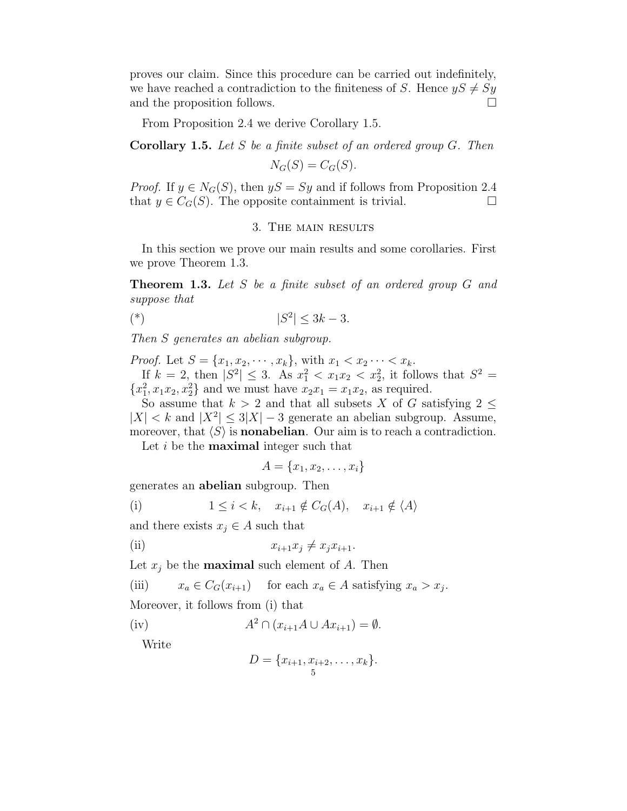proves our claim. Since this procedure can be carried out indefinitely, we have reached a contradiction to the finiteness of S. Hence  $yS \neq Sy$ and the proposition follows.

From Proposition 2.4 we derive Corollary 1.5.

Corollary 1.5. Let S be a finite subset of an ordered group G. Then

$$
N_G(S) = C_G(S).
$$

*Proof.* If  $y \in N_G(S)$ , then  $yS = Sy$  and if follows from Proposition 2.4 that  $y \in C_G(S)$ . The opposite containment is trivial.

# 3. The main results

In this section we prove our main results and some corollaries. First we prove Theorem 1.3.

**Theorem 1.3.** Let S be a finite subset of an ordered group G and suppose that

$$
|\mathcal{S}^2| \le 3k - 3.
$$

Then S generates an abelian subgroup.

*Proof.* Let  $S = \{x_1, x_2, \dots, x_k\}$ , with  $x_1 < x_2 \dots < x_k$ . If  $k = 2$ , then  $|S^2| \leq 3$ . As  $x_1^2 < x_1 x_2 < x_2^2$ , it follows that  $S^2 =$  ${x_1^2, x_1x_2, x_2^2}$  and we must have  $x_2x_1 = x_1x_2$ , as required.

So assume that  $k > 2$  and that all subsets X of G satisfying 2 <  $|X| < k$  and  $|X^2| \leq 3|X| - 3$  generate an abelian subgroup. Assume, moreover, that  $\langle S \rangle$  is **nonabelian**. Our aim is to reach a contradiction.

Let  $i$  be the **maximal** integer such that

$$
A = \{x_1, x_2, \ldots, x_i\}
$$

generates an abelian subgroup. Then

(i) 
$$
1 \leq i < k, \quad x_{i+1} \notin C_G(A), \quad x_{i+1} \notin \langle A \rangle
$$

and there exists  $x_j \in A$  such that

(ii) 
$$
x_{i+1}x_j \neq x_jx_{i+1}.
$$

Let  $x_i$  be the **maximal** such element of A. Then

(iii) 
$$
x_a \in C_G(x_{i+1})
$$
 for each  $x_a \in A$  satisfying  $x_a > x_j$ .

Moreover, it follows from (i) that

$$
\text{(iv)} \qquad \qquad A^2 \cap (x_{i+1}A \cup Ax_{i+1}) = \emptyset.
$$

Write

$$
D = \{x_{i+1}, x_{i+2}, \dots, x_k\}.
$$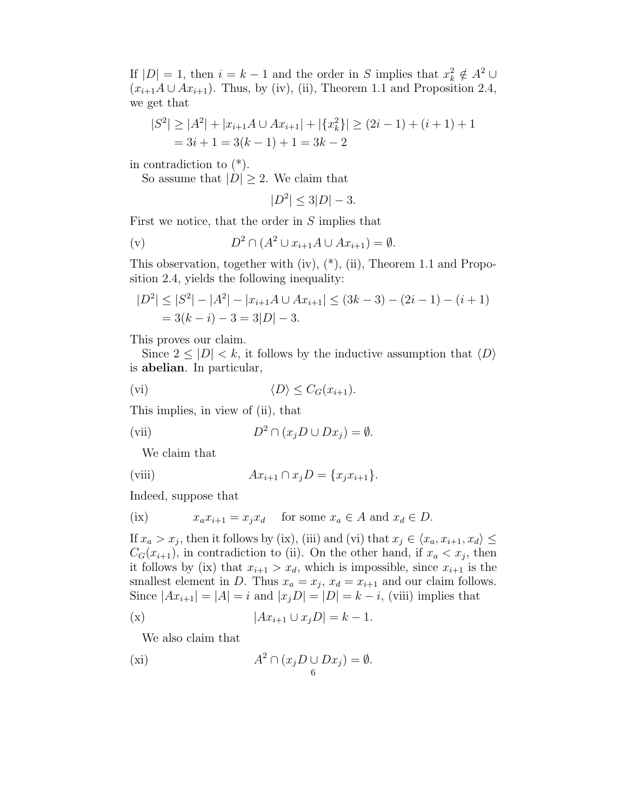If  $|D| = 1$ , then  $i = k - 1$  and the order in S implies that  $x_k^2 \notin A^2 \cup$  $(x_{i+1}A \cup Ax_{i+1})$ . Thus, by (iv), (ii), Theorem 1.1 and Proposition 2.4, we get that

$$
|S2| \ge |A2| + |xi+1A \cup Axi+1| + |\{xk2\}| \ge (2i - 1) + (i + 1) + 1
$$
  
= 3i + 1 = 3(k - 1) + 1 = 3k - 2

in contradiction to  $(*)$ .

So assume that  $|D| \geq 2$ . We claim that

$$
|D^2| \le 3|D| - 3.
$$

First we notice, that the order in S implies that

$$
\text{(v)} \qquad \qquad D^2 \cap (A^2 \cup x_{i+1}A \cup Ax_{i+1}) = \emptyset.
$$

This observation, together with (iv), (\*), (ii), Theorem 1.1 and Proposition 2.4, yields the following inequality:

$$
|D2| \le |S2| - |A2| - |xi+1A \cup Axi+1| \le (3k - 3) - (2i - 1) - (i + 1)
$$
  
= 3(k - i) - 3 = 3|D| - 3.

This proves our claim.

Since  $2 \leq |D| < k$ , it follows by the inductive assumption that  $\langle D \rangle$ is abelian. In particular,

$$
(vi) \t\t \langle D \rangle \leq C_G(x_{i+1}).
$$

This implies, in view of (ii), that

(vii) 
$$
D^2 \cap (x_j D \cup Dx_j) = \emptyset.
$$

We claim that

(viii) 
$$
Ax_{i+1} \cap x_j D = \{x_j x_{i+1}\}.
$$

Indeed, suppose that

(ix) 
$$
x_a x_{i+1} = x_j x_d
$$
 for some  $x_a \in A$  and  $x_d \in D$ .

If  $x_a > x_j$ , then it follows by (ix), (iii) and (vi) that  $x_j \in \langle x_a, x_{i+1}, x_d \rangle \leq$  $C_G(x_{i+1})$ , in contradiction to (ii). On the other hand, if  $x_a < x_j$ , then it follows by (ix) that  $x_{i+1} > x_d$ , which is impossible, since  $x_{i+1}$  is the smallest element in D. Thus  $x_a = x_j$ ,  $x_d = x_{i+1}$  and our claim follows. Since  $|Ax_{i+1}| = |A| = i$  and  $|x_iD| = |D| = k - i$ , (viii) implies that

$$
|Ax_{i+1} \cup x_jD| = k - 1.
$$

We also claim that

$$
(xi) \t A2 \cap (xjD \cup Dxj) = \emptyset.
$$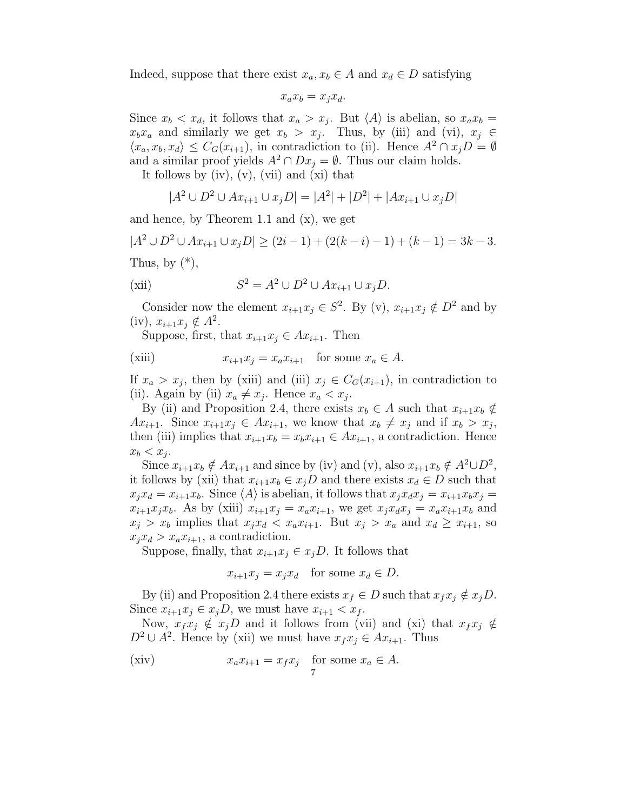Indeed, suppose that there exist  $x_a, x_b \in A$  and  $x_d \in D$  satisfying

$$
x_a x_b = x_j x_d.
$$

Since  $x_b < x_d$ , it follows that  $x_a > x_j$ . But  $\langle A \rangle$  is abelian, so  $x_a x_b =$  $x_bx_a$  and similarly we get  $x_b > x_j$ . Thus, by (iii) and (vi),  $x_j \in$  $\langle x_a, x_b, x_d \rangle \leq C_G(x_{i+1}),$  in contradiction to (ii). Hence  $A^2 \cap x_j D = \emptyset$ and a similar proof yields  $A^2 \cap Dx_i = \emptyset$ . Thus our claim holds.

It follows by  $(iv)$ ,  $(v)$ ,  $(vii)$  and  $(xi)$  that

$$
|A^2 \cup D^2 \cup Ax_{i+1} \cup x_j D| = |A^2| + |D^2| + |Ax_{i+1} \cup x_j D|
$$

and hence, by Theorem 1.1 and  $(x)$ , we get

$$
|A2 \cup D2 \cup Axi+1 \cup xjD| \ge (2i-1) + (2(k-i)-1) + (k-1) = 3k-3.
$$

Thus, by  $(*),$ 

(xii) 
$$
S^2 = A^2 \cup D^2 \cup Ax_{i+1} \cup x_j D.
$$

Consider now the element  $x_{i+1}x_j \in S^2$ . By (v),  $x_{i+1}x_j \notin D^2$  and by (iv),  $x_{i+1}x_j \notin A^2$ .

Suppose, first, that  $x_{i+1}x_j \in Ax_{i+1}$ . Then

$$
\text{(xiii)} \qquad \qquad x_{i+1}x_j = x_a x_{i+1} \quad \text{for some } x_a \in A.
$$

If  $x_a > x_j$ , then by (xiii) and (iii)  $x_j \in C_G(x_{i+1})$ , in contradiction to (ii). Again by (ii)  $x_a \neq x_j$ . Hence  $x_a < x_j$ .

By (ii) and Proposition 2.4, there exists  $x_b \in A$  such that  $x_{i+1}x_b \notin A$  $Ax_{i+1}$ . Since  $x_{i+1}x_j \in Ax_{i+1}$ , we know that  $x_b \neq x_j$  and if  $x_b > x_j$ , then (iii) implies that  $x_{i+1}x_b = x_bx_{i+1} \in Ax_{i+1}$ , a contradiction. Hence  $x_b < x_j$ .

Since  $x_{i+1}x_b \notin Ax_{i+1}$  and since by (iv) and (v), also  $x_{i+1}x_b \notin A^2 \cup D^2$ , it follows by (xii) that  $x_{i+1}x_b \in x_iD$  and there exists  $x_d \in D$  such that  $x_j x_d = x_{i+1} x_b$ . Since  $\langle A \rangle$  is abelian, it follows that  $x_j x_d x_j = x_{i+1} x_b x_j =$  $x_{i+1}x_jx_b$ . As by (xiii)  $x_{i+1}x_j = x_a x_{i+1}$ , we get  $x_jx_dx_j = x_a x_{i+1}x_b$  and  $x_j > x_b$  implies that  $x_j x_d < x_a x_{i+1}$ . But  $x_j > x_a$  and  $x_d \geq x_{i+1}$ , so  $x_i x_d > x_a x_{i+1}$ , a contradiction.

Suppose, finally, that  $x_{i+1}x_i \in x_iD$ . It follows that

$$
x_{i+1}x_j = x_jx_d \quad \text{for some } x_d \in D.
$$

By (ii) and Proposition 2.4 there exists  $x_f \in D$  such that  $x_f x_j \notin x_jD$ . Since  $x_{i+1}x_i \in x_iD$ , we must have  $x_{i+1} < x_f$ .

Now,  $x_f x_i \notin x_j D$  and it follows from (vii) and (xi) that  $x_f x_i \notin D$  $D^2 \cup A^2$ . Hence by (xii) we must have  $x_f x_j \in Ax_{i+1}$ . Thus

(xiv) 
$$
x_a x_{i+1} = x_f x_j
$$
 for some  $x_a \in A$ .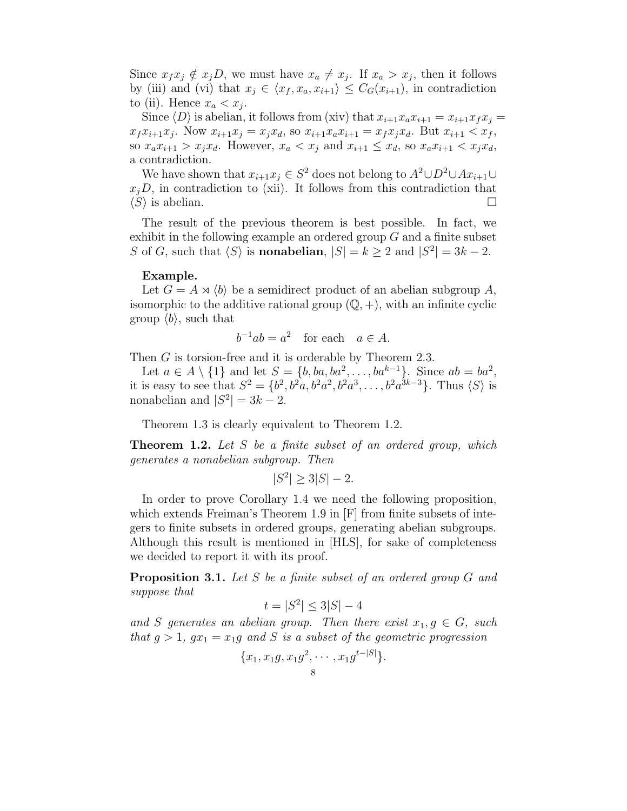Since  $x_f x_j \notin x_j D$ , we must have  $x_a \neq x_j$ . If  $x_a > x_j$ , then it follows by (iii) and (vi) that  $x_j \in \langle x_f, x_a, x_{i+1} \rangle \leq C_G(x_{i+1}),$  in contradiction to (ii). Hence  $x_a < x_j$ .

Since  $\langle D \rangle$  is abelian, it follows from (xiv) that  $x_{i+1}x_{i+1} = x_{i+1}x_{i}$  $x_f x_{i+1} x_j$ . Now  $x_{i+1} x_j = x_j x_d$ , so  $x_{i+1} x_a x_{i+1} = x_f x_j x_d$ . But  $x_{i+1} < x_f$ , so  $x_a x_{i+1} > x_j x_d$ . However,  $x_a < x_j$  and  $x_{i+1} \leq x_d$ , so  $x_a x_{i+1} < x_j x_d$ , a contradiction.

We have shown that  $x_{i+1}x_j \in S^2$  does not belong to  $A^2 \cup D^2 \cup Ax_{i+1} \cup$  $x_i$ D, in contradiction to (xii). It follows from this contradiction that  $\langle S \rangle$  is abelian.

The result of the previous theorem is best possible. In fact, we exhibit in the following example an ordered group  $G$  and a finite subset S of G, such that  $\langle S \rangle$  is **nonabelian**,  $|S| = k \ge 2$  and  $|S^2| = 3k - 2$ .

## Example.

Let  $G = A \rtimes \langle b \rangle$  be a semidirect product of an abelian subgroup A, isomorphic to the additive rational group  $(\mathbb{Q}, +)$ , with an infinite cyclic group  $\langle b \rangle$ , such that

$$
b^{-1}ab = a^2 \quad \text{for each} \quad a \in A.
$$

Then G is torsion-free and it is orderable by Theorem 2.3.

Let  $a \in A \setminus \{1\}$  and let  $S = \{b, ba, ba^2, \ldots, ba^{k-1}\}.$  Since  $ab = ba^2$ , it is easy to see that  $S^2 = \{b^2, b^2a, b^2a^2, b^2a^3, \ldots, b^2a^{3k-3}\}$ . Thus  $\langle S \rangle$  is nonabelian and  $|S^2| = 3k - 2$ .

Theorem 1.3 is clearly equivalent to Theorem 1.2.

**Theorem 1.2.** Let S be a finite subset of an ordered group, which generates a nonabelian subgroup. Then

 $|S^2| \ge 3|S| - 2.$ 

In order to prove Corollary 1.4 we need the following proposition, which extends Freiman's Theorem 1.9 in [F] from finite subsets of integers to finite subsets in ordered groups, generating abelian subgroups. Although this result is mentioned in [HLS], for sake of completeness we decided to report it with its proof.

**Proposition 3.1.** Let S be a finite subset of an ordered group G and suppose that

$$
t = |S^2| \le 3|S| - 4
$$

and S generates an abelian group. Then there exist  $x_1, g \in G$ , such that  $g > 1$ ,  $gx_1 = x_1g$  and S is a subset of the geometric progression

$$
{x_1, x_1g, x_1g^2, \cdots, x_1g^{t-|S|}\}.
$$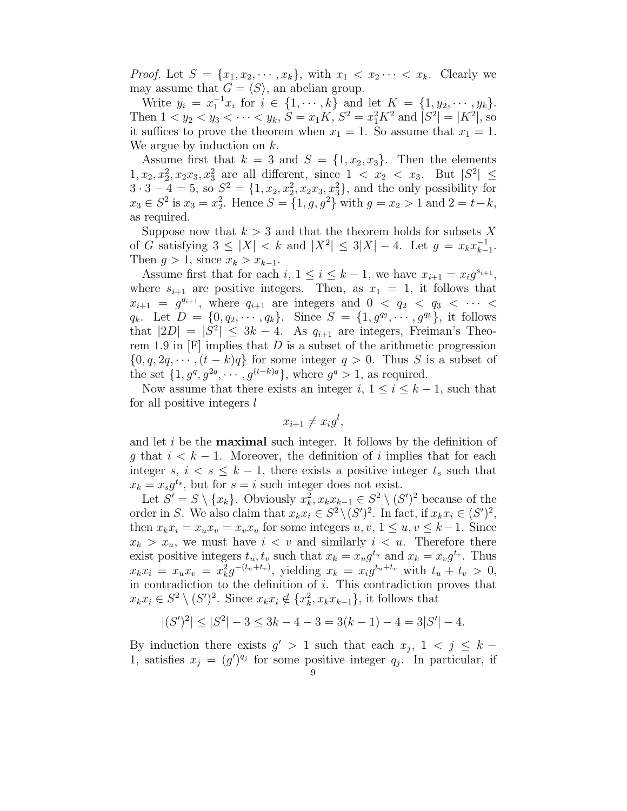*Proof.* Let  $S = \{x_1, x_2, \cdots, x_k\}$ , with  $x_1 < x_2 \cdots < x_k$ . Clearly we may assume that  $G = \langle S \rangle$ , an abelian group.

Write  $y_i = x_1^{-1} x_i$  for  $i \in \{1, \dots, k\}$  and let  $K = \{1, y_2, \dots, y_k\}.$ Then  $1 < y_2 < y_3 < \cdots < y_k$ ,  $S = x_1K$ ,  $S^2 = x_1^2K^2$  and  $|S^2| = |K^2|$ , so it suffices to prove the theorem when  $x_1 = 1$ . So assume that  $x_1 = 1$ . We argue by induction on  $k$ .

Assume first that  $k = 3$  and  $S = \{1, x_2, x_3\}$ . Then the elements  $1, x_2, x_2^2, x_2x_3, x_3^2$  are all different, since  $1 < x_2 < x_3$ . But  $|S^2| \le$  $3 \cdot 3 - 4 = 5$ , so  $S^2 = \{1, x_2, x_2^2, x_2x_3, x_3^2\}$ , and the only possibility for  $x_3 \in S^2$  is  $x_3 = x_2^2$ . Hence  $S = \{1, g, g^2\}$  with  $g = x_2 > 1$  and  $2 = t - k$ , as required.

Suppose now that  $k > 3$  and that the theorem holds for subsets X of G satisfying  $3 \leq |X| < k$  and  $|X^2| \leq 3|X| - 4$ . Let  $g = x_k x_{k-1}^{-1}$  $\frac{-1}{k-1}$ . Then  $g > 1$ , since  $x_k > x_{k-1}$ .

Assume first that for each  $i, 1 \le i \le k-1$ , we have  $x_{i+1} = x_i g^{s_{i+1}},$ where  $s_{i+1}$  are positive integers. Then, as  $x_1 = 1$ , it follows that  $x_{i+1} = g^{q_{i+1}}$ , where  $q_{i+1}$  are integers and  $0 < q_2 < q_3 < \cdots <$  $q_k$ . Let  $D = \{0, q_2, \dots, q_k\}$ . Since  $S = \{1, g^{q_2}, \dots, g^{q_k}\}$ , it follows that  $|2D| = |S^2| \leq 3k - 4$ . As  $q_{i+1}$  are integers, Freiman's Theorem 1.9 in  $[F]$  implies that D is a subset of the arithmetic progression  $\{0, q, 2q, \dots, (t-k)q\}$  for some integer  $q > 0$ . Thus S is a subset of the set  $\{1, g^q, g^{2q}, \cdots, g^{(t-k)q}\}\$ , where  $g^q > 1$ , as required.

Now assume that there exists an integer i,  $1 \leq i \leq k-1$ , such that for all positive integers l

 $x_{i+1} \neq x_i g^l$ ,

and let i be the maximal such integer. It follows by the definition of g that  $i < k - 1$ . Moreover, the definition of i implies that for each integer s,  $i < s \leq k-1$ , there exists a positive integer  $t_s$  such that  $x_k = x_s g^{t_s}$ , but for  $s = i$  such integer does not exist.

Let  $S' = S \setminus \{x_k\}$ . Obviously  $x_k^2, x_k x_{k-1} \in S^2 \setminus (S')^2$  because of the order in S. We also claim that  $x_k x_i \in S^2 \setminus (S')^2$ . In fact, if  $x_k x_i \in (S')^2$ , then  $x_k x_i = x_u x_v = x_v x_u$  for some integers  $u, v, 1 \le u, v \le k-1$ . Since  $x_k > x_u$ , we must have  $i < v$  and similarly  $i < u$ . Therefore there exist positive integers  $t_u, t_v$  such that  $x_k = x_u g^{t_u}$  and  $x_k = x_v g^{t_v}$ . Thus  $x_k x_i = x_u x_v = x_k^2 g^{-(t_u + t_v)}$ , yielding  $x_k = x_i g^{t_u + t_v}$  with  $t_u + t_v > 0$ , in contradiction to the definition of  $i$ . This contradiction proves that  $x_k x_i \in S^2 \setminus (S')^2$ . Since  $x_k x_i \notin \{x_k^2, x_k x_{k-1}\},$  it follows that

$$
|(S')^2| \le |S^2| - 3 \le 3k - 4 - 3 = 3(k - 1) - 4 = 3|S'| - 4.
$$

By induction there exists  $g' > 1$  such that each  $x_j$ ,  $1 < j \leq k$ 1, satisfies  $x_j = (g')^{q_j}$  for some positive integer  $q_j$ . In particular, if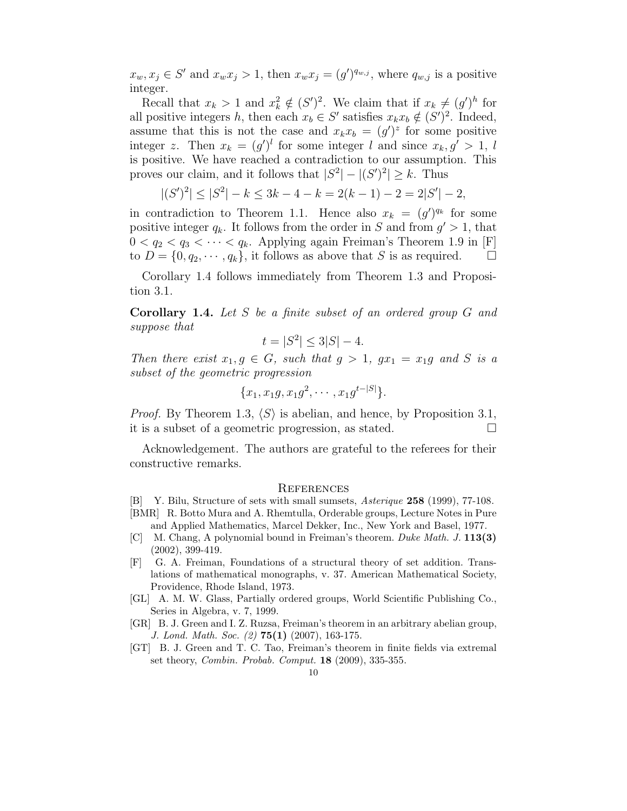$x_w, x_j \in S'$  and  $x_w x_j > 1$ , then  $x_w x_j = (g')^{q_{w,j}}$ , where  $q_{w,j}$  is a positive integer.

Recall that  $x_k > 1$  and  $x_k^2 \notin (S')^2$ . We claim that if  $x_k \neq (g')^h$  for all positive integers h, then each  $x_b \in S'$  satisfies  $x_k x_b \notin (S')^2$ . Indeed, assume that this is not the case and  $x_k x_b = (g')^z$  for some positive integer z. Then  $x_k = (g')^l$  for some integer l and since  $x_k, g' > 1, l$ is positive. We have reached a contradiction to our assumption. This proves our claim, and it follows that  $|S^2| - |(S')^2| \geq k$ . Thus

 $|(S')^2| \leq |S^2| - k \leq 3k - 4 - k = 2(k-1) - 2 = 2|S'| - 2,$ 

in contradiction to Theorem 1.1. Hence also  $x_k = (g')^{q_k}$  for some positive integer  $q_k$ . It follows from the order in S and from  $g' > 1$ , that  $0 < q_2 < q_3 < \cdots < q_k$ . Applying again Freiman's Theorem 1.9 in [F] to  $D = \{0, q_2, \dots, q_k\}$ , it follows as above that S is as required.  $\square$ 

Corollary 1.4 follows immediately from Theorem 1.3 and Proposition 3.1.

Corollary 1.4. Let S be a finite subset of an ordered group G and suppose that

$$
t = |S^2| \le 3|S| - 4.
$$

Then there exist  $x_1, g \in G$ , such that  $g > 1$ ,  $gx_1 = x_1g$  and S is a subset of the geometric progression

$$
\{x_1, x_1g, x_1g^2, \cdots, x_1g^{t-|S|}\}.
$$

*Proof.* By Theorem 1.3,  $\langle S \rangle$  is abelian, and hence, by Proposition 3.1, it is a subset of a geometric progression, as stated.

Acknowledgement. The authors are grateful to the referees for their constructive remarks.

## **REFERENCES**

[B] Y. Bilu, Structure of sets with small sumsets, Asterique 258 (1999), 77-108. [BMR] R. Botto Mura and A. Rhemtulla, Orderable groups, Lecture Notes in Pure

and Applied Mathematics, Marcel Dekker, Inc., New York and Basel, 1977.

- [C] M. Chang, A polynomial bound in Freiman's theorem. Duke Math. J. 113(3) (2002), 399-419.
- [F] G. A. Freiman, Foundations of a structural theory of set addition. Translations of mathematical monographs, v. 37. American Mathematical Society, Providence, Rhode Island, 1973.
- [GL] A. M. W. Glass, Partially ordered groups, World Scientific Publishing Co., Series in Algebra, v. 7, 1999.
- [GR] B. J. Green and I. Z. Ruzsa, Freiman's theorem in an arbitrary abelian group, J. Lond. Math. Soc. (2) 75(1) (2007), 163-175.
- [GT] B. J. Green and T. C. Tao, Freiman's theorem in finite fields via extremal set theory, Combin. Probab. Comput. 18 (2009), 335-355.